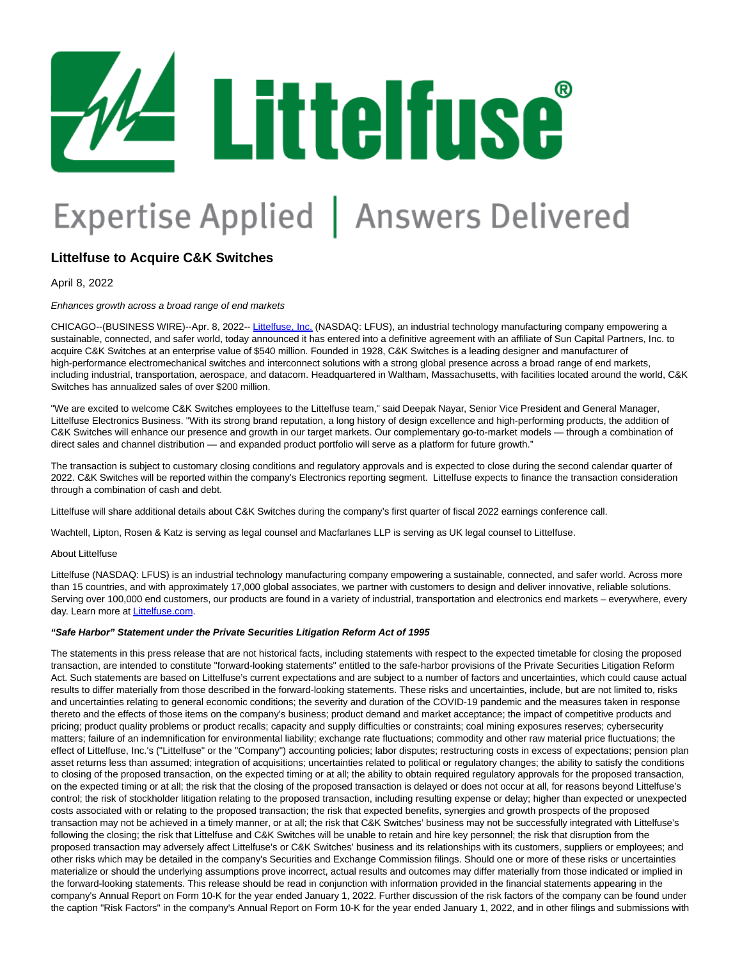

## Expertise Applied | Answers Delivered

## **Littelfuse to Acquire C&K Switches**

April 8, 2022

Enhances growth across a broad range of end markets

CHICAGO--(BUSINESS WIRE)--Apr. 8, 2022-- [Littelfuse, Inc. \(](https://cts.businesswire.com/ct/CT?id=smartlink&url=http%3A%2F%2Fwww.littelfuse.com%2F&esheet=52671473&newsitemid=20220408005081&lan=en-US&anchor=Littelfuse%2C+Inc.&index=1&md5=9b8bebb9b8539a4b730de787b157e5c0)NASDAQ: LFUS), an industrial technology manufacturing company empowering a sustainable, connected, and safer world, today announced it has entered into a definitive agreement with an affiliate of Sun Capital Partners, Inc. to acquire C&K Switches at an enterprise value of \$540 million. Founded in 1928, C&K Switches is a leading designer and manufacturer of high-performance electromechanical switches and interconnect solutions with a strong global presence across a broad range of end markets, including industrial, transportation, aerospace, and datacom. Headquartered in Waltham, Massachusetts, with facilities located around the world, C&K Switches has annualized sales of over \$200 million.

"We are excited to welcome C&K Switches employees to the Littelfuse team," said Deepak Nayar, Senior Vice President and General Manager, Littelfuse Electronics Business. "With its strong brand reputation, a long history of design excellence and high-performing products, the addition of C&K Switches will enhance our presence and growth in our target markets. Our complementary go-to-market models — through a combination of direct sales and channel distribution — and expanded product portfolio will serve as a platform for future growth."

The transaction is subject to customary closing conditions and regulatory approvals and is expected to close during the second calendar quarter of 2022. C&K Switches will be reported within the company's Electronics reporting segment. Littelfuse expects to finance the transaction consideration through a combination of cash and debt.

Littelfuse will share additional details about C&K Switches during the company's first quarter of fiscal 2022 earnings conference call.

Wachtell, Lipton, Rosen & Katz is serving as legal counsel and Macfarlanes LLP is serving as UK legal counsel to Littelfuse.

## About Littelfuse

Littelfuse (NASDAQ: LFUS) is an industrial technology manufacturing company empowering a sustainable, connected, and safer world. Across more than 15 countries, and with approximately 17,000 global associates, we partner with customers to design and deliver innovative, reliable solutions. Serving over 100,000 end customers, our products are found in a variety of industrial, transportation and electronics end markets – everywhere, every day. Learn more at [Littelfuse.com.](https://cts.businesswire.com/ct/CT?id=smartlink&url=http%3A%2F%2Fwww.littelfuse.com%2F&esheet=52671473&newsitemid=20220408005081&lan=en-US&anchor=Littelfuse.com&index=2&md5=4b0f0de9561660b00817e6e6eaede177)

## **"Safe Harbor" Statement under the Private Securities Litigation Reform Act of 1995**

The statements in this press release that are not historical facts, including statements with respect to the expected timetable for closing the proposed transaction, are intended to constitute "forward-looking statements" entitled to the safe-harbor provisions of the Private Securities Litigation Reform Act. Such statements are based on Littelfuse's current expectations and are subject to a number of factors and uncertainties, which could cause actual results to differ materially from those described in the forward-looking statements. These risks and uncertainties, include, but are not limited to, risks and uncertainties relating to general economic conditions; the severity and duration of the COVID-19 pandemic and the measures taken in response thereto and the effects of those items on the company's business; product demand and market acceptance; the impact of competitive products and pricing; product quality problems or product recalls; capacity and supply difficulties or constraints; coal mining exposures reserves; cybersecurity matters; failure of an indemnification for environmental liability; exchange rate fluctuations; commodity and other raw material price fluctuations; the effect of Littelfuse, Inc.'s ("Littelfuse" or the "Company") accounting policies; labor disputes; restructuring costs in excess of expectations; pension plan asset returns less than assumed; integration of acquisitions; uncertainties related to political or regulatory changes; the ability to satisfy the conditions to closing of the proposed transaction, on the expected timing or at all; the ability to obtain required regulatory approvals for the proposed transaction, on the expected timing or at all; the risk that the closing of the proposed transaction is delayed or does not occur at all, for reasons beyond Littelfuse's control; the risk of stockholder litigation relating to the proposed transaction, including resulting expense or delay; higher than expected or unexpected costs associated with or relating to the proposed transaction; the risk that expected benefits, synergies and growth prospects of the proposed transaction may not be achieved in a timely manner, or at all; the risk that C&K Switches' business may not be successfully integrated with Littelfuse's following the closing; the risk that Littelfuse and C&K Switches will be unable to retain and hire key personnel; the risk that disruption from the proposed transaction may adversely affect Littelfuse's or C&K Switches' business and its relationships with its customers, suppliers or employees; and other risks which may be detailed in the company's Securities and Exchange Commission filings. Should one or more of these risks or uncertainties materialize or should the underlying assumptions prove incorrect, actual results and outcomes may differ materially from those indicated or implied in the forward-looking statements. This release should be read in conjunction with information provided in the financial statements appearing in the company's Annual Report on Form 10-K for the year ended January 1, 2022. Further discussion of the risk factors of the company can be found under the caption "Risk Factors" in the company's Annual Report on Form 10-K for the year ended January 1, 2022, and in other filings and submissions with